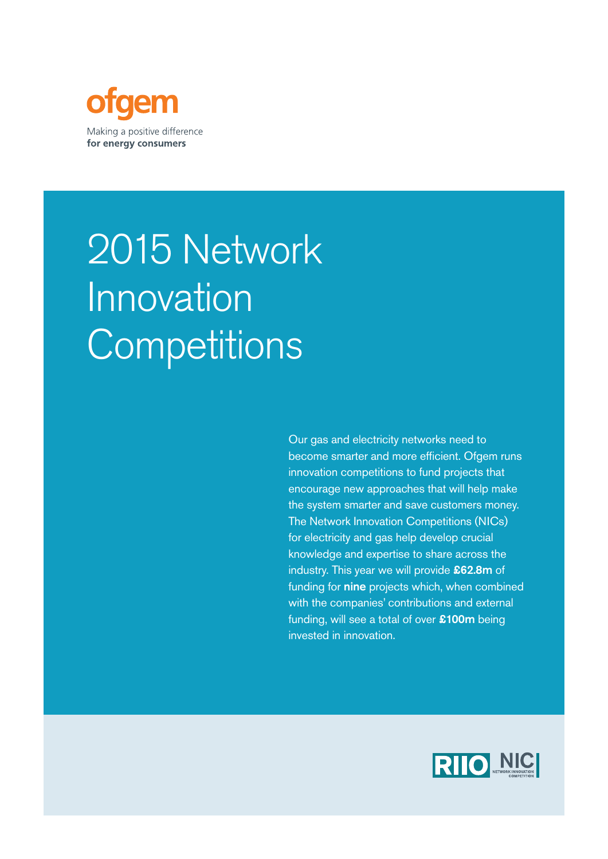

# 2015 Network Innovation **Competitions**

Our gas and electricity networks need to become smarter and more efficient. Ofgem runs innovation competitions to fund projects that encourage new approaches that will help make the system smarter and save customers money. The Network Innovation Competitions (NICs) for electricity and gas help develop crucial knowledge and expertise to share across the industry. This year we will provide £62.8m of funding for nine projects which, when combined with the companies' contributions and external funding, will see a total of over £100m being invested in innovation.

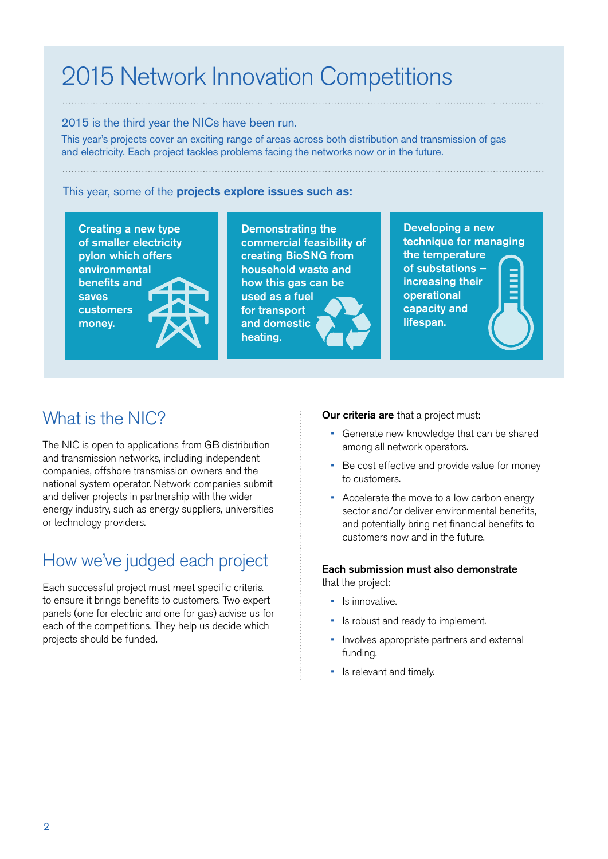## 2015 Network Innovation Competitions

#### 2015 is the third year the NICs have been run.

This year's projects cover an exciting range of areas across both distribution and transmission of gas and electricity. Each project tackles problems facing the networks now or in the future.

#### This year, some of the projects explore issues such as:

Creating a new type of smaller electricity pylon which offers environmental benefits and saves customers money.

Demonstrating the commercial feasibility of creating BioSNG from household waste and how this gas can be used as a fuel for transport and domestic heating.

Developing a new technique for managing the temperature of substations – increasing their operational capacity and lifespan.

### What is the NIC?

The NIC is open to applications from GB distribution and transmission networks, including independent companies, offshore transmission owners and the national system operator. Network companies submit and deliver projects in partnership with the wider energy industry, such as energy suppliers, universities or technology providers.

### How we've judged each project

Each successful project must meet specific criteria to ensure it brings benefits to customers. Two expert panels (one for electric and one for gas) advise us for each of the competitions. They help us decide which projects should be funded.

#### Our criteria are that a project must:

- Generate new knowledge that can be shared among all network operators.
- Be cost effective and provide value for money to customers.
- Accelerate the move to a low carbon energy sector and/or deliver environmental benefits, and potentially bring net financial benefits to customers now and in the future.

#### Each submission must also demonstrate that the project:

- Is innovative.
- Is robust and ready to implement.
- Involves appropriate partners and external funding.
- Is relevant and timely.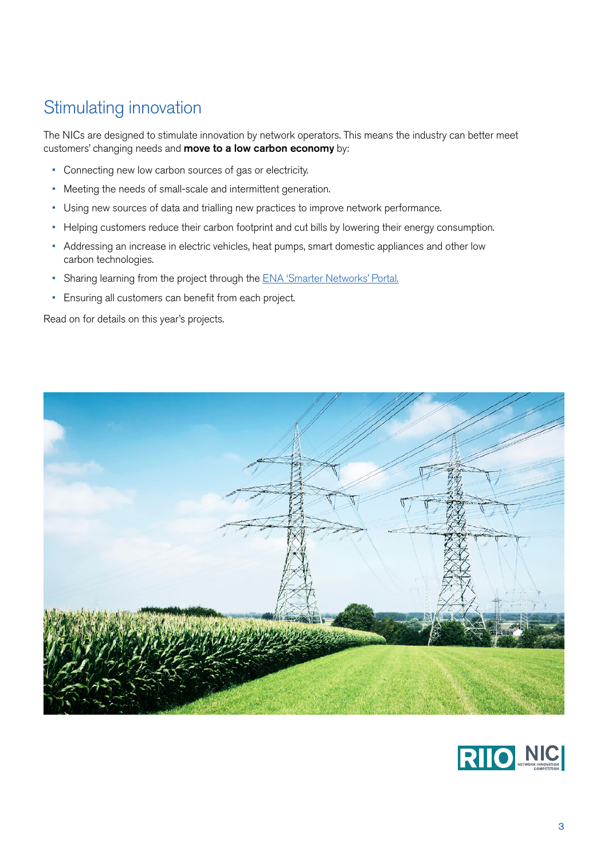### Stimulating innovation

The NICs are designed to stimulate innovation by network operators. This means the industry can better meet customers' changing needs and **move to a low carbon economy** by:

- Connecting new low carbon sources of gas or electricity.
- Meeting the needs of small-scale and intermittent generation.
- Using new sources of data and trialling new practices to improve network performance.
- Helping customers reduce their carbon footprint and cut bills by lowering their energy consumption.
- Addressing an increase in electric vehicles, heat pumps, smart domestic appliances and other low carbon technologies.
- Sharing learning from the project through the [ENA 'Smarter Networks' Portal.](http://www.smarternetworks.org/)
- [Ensuring all customers can benefit from each project.](http://www.smarternetworks.org/)

Read on for details on this year's projects.



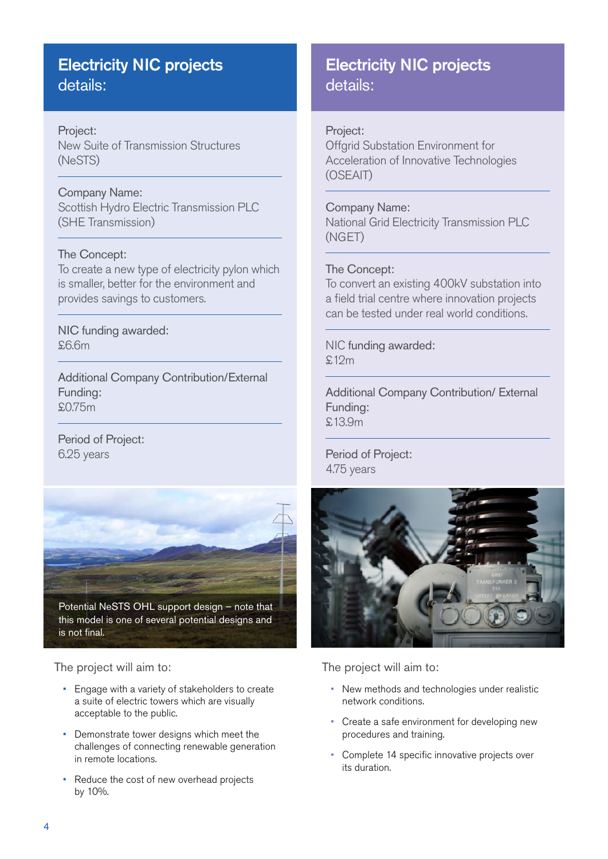### Electricity NIC projects details:

### Project: New Suite of Transmission Structures (NeSTS)

### Company Name:

Scottish Hydro Electric Transmission PLC (SHE Transmission)

#### The Concept:

To create a new type of electricity pylon which is smaller, better for the environment and provides savings to customers.

NIC funding awarded:  $$6.6m$ 

Additional Company Contribution/External Funding: £0.75m

Period of Project: 6.25 years



Potential NeSTS OHL support design – note that this model is one of several potential designs and is not final.

The project will aim to:

- Engage with a variety of stakeholders to create a suite of electric towers which are visually acceptable to the public.
- Demonstrate tower designs which meet the challenges of connecting renewable generation in remote locations.
- Reduce the cost of new overhead projects by 10%.

### Electricity NIC projects details:

### Project:

Offgrid Substation Environment for Acceleration of Innovative Technologies (OSEAIT)

#### Company Name:

National Grid Electricity Transmission PLC (NGET)

#### The Concept:

To convert an existing 400kV substation into a field trial centre where innovation projects can be tested under real world conditions.

NIC funding awarded: £12m

Additional Company Contribution/ External Funding: £13.9m

Period of Project: 4.75 years



- New methods and technologies under realistic network conditions.
- Create a safe environment for developing new procedures and training.
- Complete 14 specific innovative projects over its duration.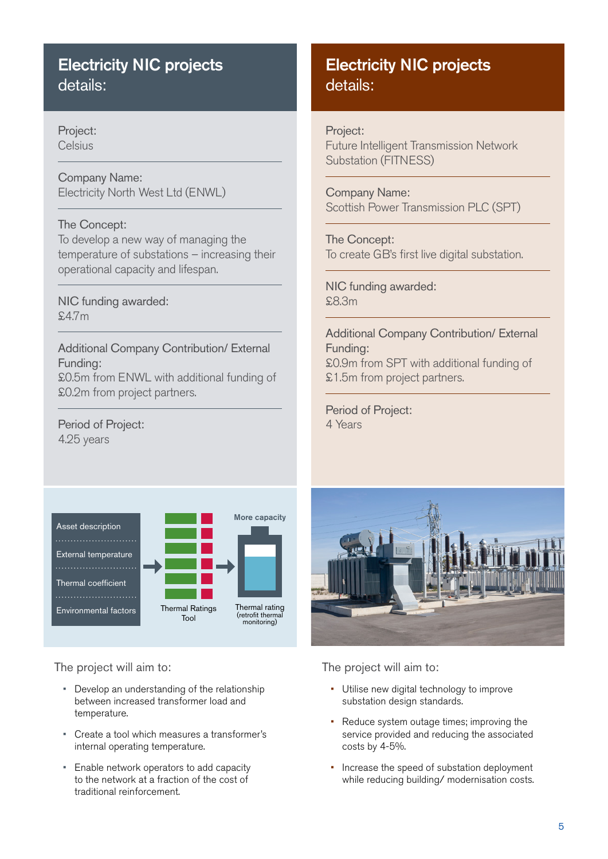### Electricity NIC projects details:

Project: **Celsius** 

Company Name: Electricity North West Ltd (ENWL)

### The Concept:

To develop a new way of managing the temperature of substations – increasing their operational capacity and lifespan.

### NIC funding awarded: £4.7m

Additional Company Contribution/ External Funding: £0.5m from ENWL with additional funding of £0.2m from project partners.

### Period of Project: 4.25 years



The project will aim to:

- Develop an understanding of the relationship between increased transformer load and temperature.
- Create a tool which measures a transformer's internal operating temperature.
- Enable network operators to add capacity to the network at a fraction of the cost of traditional reinforcement.

### Electricity NIC projects details:

### Project:

Future Intelligent Transmission Network Substation (FITNESS)

Company Name: Scottish Power Transmission PLC (SPT)

The Concept: To create GB's first live digital substation.

### NIC funding awarded: £8.3m

Additional Company Contribution/ External Funding: £0.9m from SPT with additional funding of £1.5m from project partners.

Period of Project: 4 Years



- Utilise new digital technology to improve substation design standards.
- Reduce system outage times; improving the service provided and reducing the associated costs by 4-5%.
- Increase the speed of substation deployment while reducing building/ modernisation costs.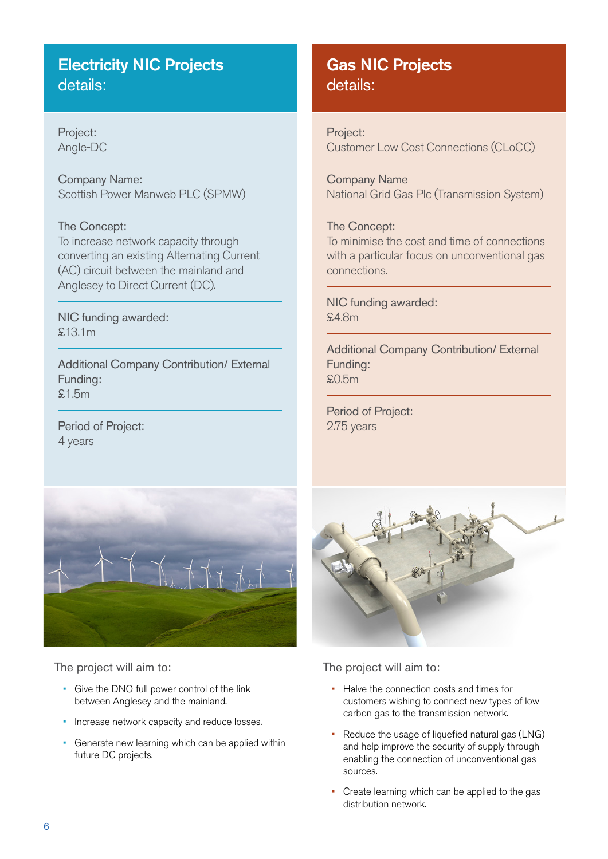### Electricity NIC Projects details:

Project: Angle-DC

Company Name: Scottish Power Manweb PLC (SPMW)

### The Concept:

To increase network capacity through converting an existing Alternating Current (AC) circuit between the mainland and Anglesey to Direct Current (DC).

NIC funding awarded: £13.1m

Additional Company Contribution/ External Funding: £1.5m

Period of Project: 4 years



### Project:

Customer Low Cost Connections (CLoCC)

Company Name National Grid Gas Plc (Transmission System)

#### The Concept:

To minimise the cost and time of connections with a particular focus on unconventional gas connections.

NIC funding awarded: £4.8m

Additional Company Contribution/ External Funding: £0.5m

Period of Project: 2.75 years



The project will aim to:

- Give the DNO full power control of the link between Anglesey and the mainland.
- Increase network capacity and reduce losses.
- Generate new learning which can be applied within future DC projects.



- Halve the connection costs and times for customers wishing to connect new types of low carbon gas to the transmission network.
- Reduce the usage of liquefied natural gas (LNG) and help improve the security of supply through enabling the connection of unconventional gas sources.
- Create learning which can be applied to the gas distribution network.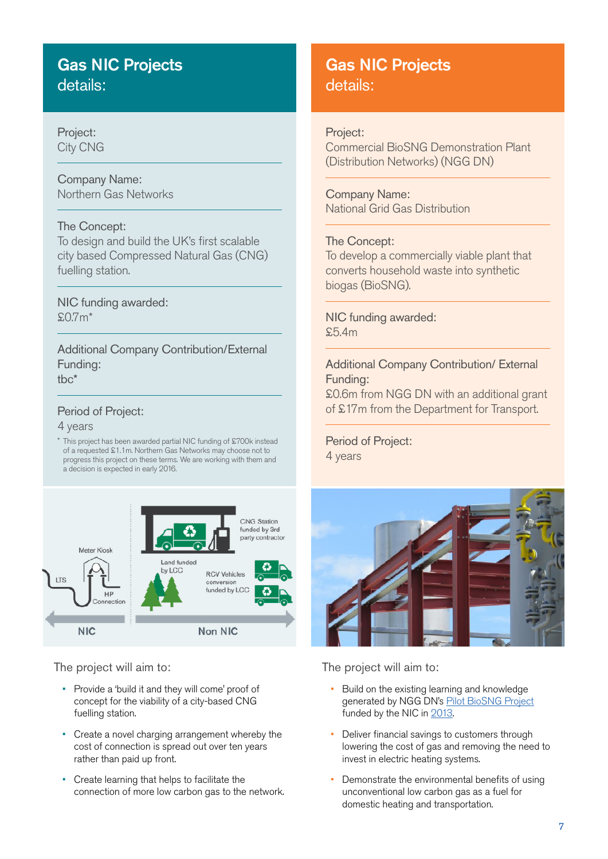### Gas NIC Projects details:

### Project: City CNG

Company Name: Northern Gas Networks

### The Concept:

To design and build the UK's first scalable city based Compressed Natural Gas (CNG) fuelling station.

### NIC funding awarded:  $$0.7m*$

Additional Company Contribution/External Funding: tbc\*

### Period of Project:

4 years

\* This project has been awarded partial NIC funding of £700k instead of a requested £1.1m. Northern Gas Networks may choose not to progress this project on these terms. We are working with them and a decision is expected in early 2016.



The project will aim to:

- Provide a 'build it and they will come' proof of concept for the viability of a city-based CNG fuelling station.
- Create a novel charging arrangement whereby the cost of connection is spread out over ten years rather than paid up front.
- Create learning that helps to facilitate the connection of more low carbon gas to the network.

### Gas NIC Projects details:

### Project:

Commercial BioSNG Demonstration Plant (Distribution Networks) (NGG DN)

Company Name: National Grid Gas Distribution

### The Concept:

To develop a commercially viable plant that converts household waste into synthetic biogas (BioSNG).

NIC funding awarded: £5.4m

### Additional Company Contribution/ External Funding:

£0.6m from NGG DN with an additional grant of £17m from the Department for Transport.

Period of Project: 4 years



- Build on the existing learning and knowledge generated by NGG DN's [Pilot BioSNG Project](https://www.ofgem.gov.uk/publications-and-updates/gas-nic-submission-national-grid-gas-distribution-biosng-demonstration-plant) funded by the NIC in [2013](https://www.ofgem.gov.uk/sites/default/files/docs/2013/11/2013_innovation_competition_brochure.pdf).
- Deliver financial savings to customers through lowering the cost of gas and removing the need to invest in electric heating systems.
- Demonstrate the environmental benefits of using unconventional low carbon gas as a fuel for domestic heating and transportation.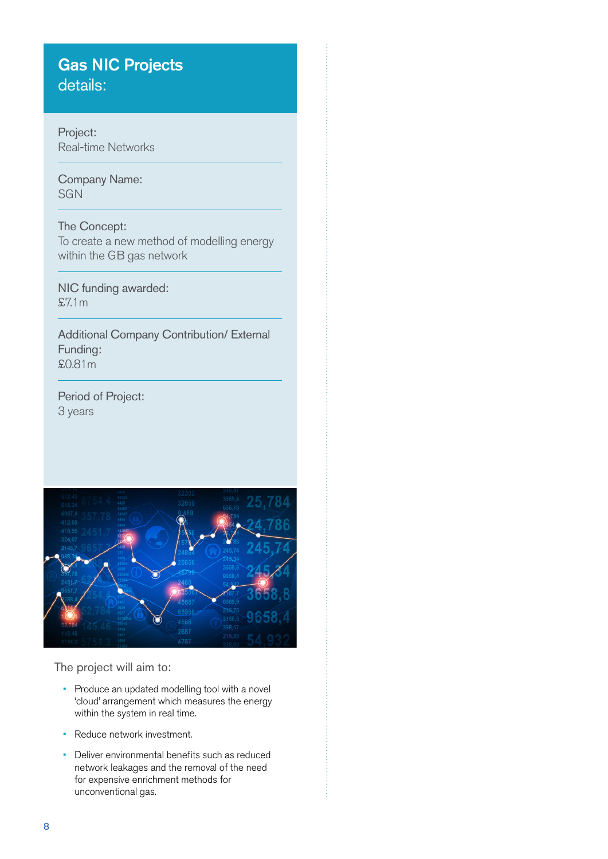### Gas NIC Projects details:

Project: Real-time Networks

Company Name: **SGN** 

### The Concept:

To create a new method of modelling energy within the GB gas network

NIC funding awarded: £7.1m

Additional Company Contribution/ External Funding: £0.81m

Period of Project: 3 years



- Produce an updated modelling tool with a novel 'cloud' arrangement which measures the energy within the system in real time.
- Reduce network investment.
- Deliver environmental benefits such as reduced network leakages and the removal of the need for expensive enrichment methods for unconventional gas.